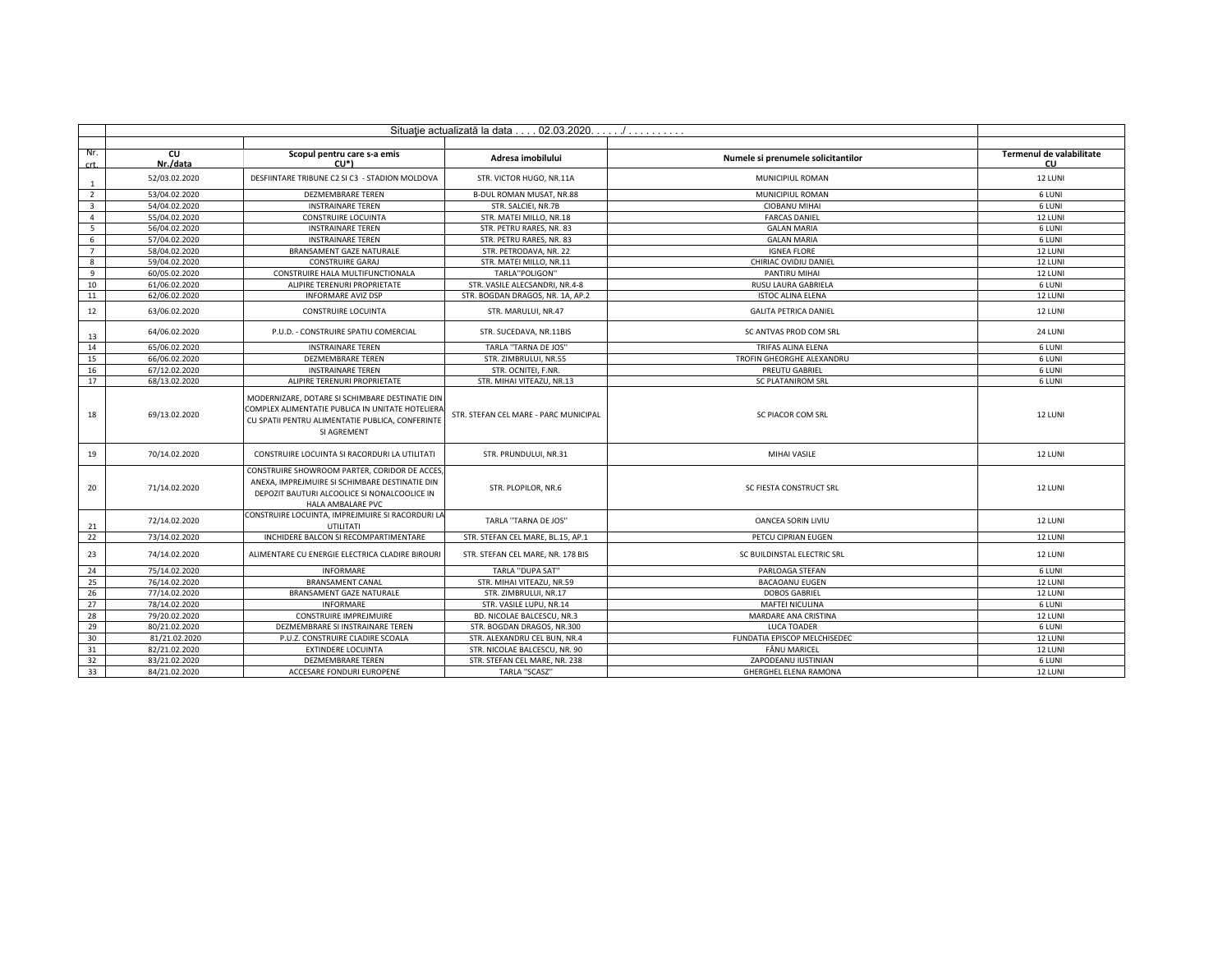|                         | Situație actualizată la data 02.03.2020. / |                                                                                                                                                                        |                                       |                                    |                                       |  |
|-------------------------|--------------------------------------------|------------------------------------------------------------------------------------------------------------------------------------------------------------------------|---------------------------------------|------------------------------------|---------------------------------------|--|
|                         |                                            |                                                                                                                                                                        |                                       |                                    |                                       |  |
| Nr.<br><b>crt</b>       | cu<br>Nr./data                             | Scopul pentru care s-a emis<br>CU*)                                                                                                                                    | Adresa imobilului                     | Numele si prenumele solicitantilor | Termenul de valabilitate<br><b>CU</b> |  |
| 1                       | 52/03.02.2020                              | DESFIINTARE TRIBUNE C2 SI C3 - STADION MOLDOVA                                                                                                                         | STR. VICTOR HUGO, NR.11A              | MUNICIPIUL ROMAN                   | 12 LUNI                               |  |
| $\overline{2}$          | 53/04.02.2020                              | <b>DEZMEMBRARE TEREN</b>                                                                                                                                               | B-DUL ROMAN MUSAT, NR.88              | MUNICIPIUL ROMAN                   | 6 LUNI                                |  |
| $\overline{\mathbf{3}}$ | 54/04.02.2020                              | <b>INSTRAINARE TEREN</b>                                                                                                                                               | STR. SALCIEI, NR.7B                   | <b>CIOBANU MIHAI</b>               | 6 LUNI                                |  |
| $\overline{4}$          | 55/04.02.2020                              | <b>CONSTRUIRE LOCUINTA</b>                                                                                                                                             | STR. MATEI MILLO, NR.18               | <b>FARCAS DANIEL</b>               | 12 LUNI                               |  |
| 5                       | 56/04.02.2020                              | <b>INSTRAINARE TEREN</b>                                                                                                                                               | STR. PETRU RARES, NR. 83              | <b>GALAN MARIA</b>                 | 6 LUNI                                |  |
| 6                       | 57/04.02.2020                              | <b>INSTRAINARE TEREN</b>                                                                                                                                               | STR. PETRU RARES, NR. 83              | <b>GALAN MARIA</b>                 | 6 LUNI                                |  |
| $\overline{7}$          | 58/04.02.2020                              | BRANSAMENT GAZE NATURALE                                                                                                                                               | STR. PETRODAVA, NR. 22                | <b>IGNEA FLORE</b>                 | 12 LUNI                               |  |
| 8                       | 59/04.02.2020                              | <b>CONSTRUIRE GARAJ</b>                                                                                                                                                | STR. MATEI MILLO, NR.11               | CHIRIAC OVIDIU DANIEL              | 12 LUNI                               |  |
| 9                       | 60/05.02.2020                              | CONSTRUIRE HALA MULTIFUNCTIONALA                                                                                                                                       | TARLA"POLIGON"                        | PANTIRU MIHAI                      | 12 LUNI                               |  |
| 10                      | 61/06.02.2020                              | ALIPIRE TERENURI PROPRIETATE                                                                                                                                           | STR. VASILE ALECSANDRI, NR.4-8        | RUSU LAURA GABRIELA                | 6 LUNI                                |  |
| 11                      | 62/06.02.2020                              | <b>INFORMARE AVIZ DSP</b>                                                                                                                                              | STR. BOGDAN DRAGOS, NR. 1A, AP.2      | <b>ISTOC ALINA ELENA</b>           | 12 LUNI                               |  |
| 12                      | 63/06.02.2020                              | CONSTRUIRE LOCUINTA                                                                                                                                                    | STR. MARULUI, NR.47                   | <b>GALITA PETRICA DANIEL</b>       | 12 LUNI                               |  |
| 13                      | 64/06.02.2020                              | P.U.D. - CONSTRUIRE SPATIU COMERCIAL                                                                                                                                   | STR. SUCEDAVA, NR.11BIS               | SC ANTVAS PROD COM SRL             | 24 LUNI                               |  |
| 14                      | 65/06.02.2020                              | <b>INSTRAINARE TEREN</b>                                                                                                                                               | TARLA "TARNA DE JOS"                  | <b>TRIFAS ALINA ELENA</b>          | 6 LUNI                                |  |
| 15                      | 66/06.02.2020                              | <b>DEZMEMBRARE TEREN</b>                                                                                                                                               | STR. ZIMBRULUI. NR.55                 | TROFIN GHEORGHE ALEXANDRU          | 6 LUNI                                |  |
| 16                      | 67/12.02.2020                              | <b>INSTRAINARE TEREN</b>                                                                                                                                               | STR. OCNITEI, F.NR.                   | PREUTU GABRIEL                     | 6 LUNI                                |  |
| 17                      | 68/13.02.2020                              | ALIPIRE TERENURI PROPRIETATE                                                                                                                                           | STR. MIHAI VITEAZU, NR.13             | <b>SC PLATANIROM SRL</b>           | 6 LUNI                                |  |
| 18                      | 69/13.02.2020                              | MODERNIZARE, DOTARE SI SCHIMBARE DESTINATIE DIN<br>COMPLEX ALIMENTATIE PUBLICA IN UNITATE HOTELIERA<br>CU SPATII PENTRU ALIMENTATIE PUBLICA, CONFERINTE<br>SI AGREMENT | STR. STEFAN CEL MARE - PARC MUNICIPAL | SC PIACOR COM SRL                  | 12 LUNI                               |  |
| 19                      | 70/14.02.2020                              | CONSTRUIRE LOCUINTA SI RACORDURI LA UTILITATI                                                                                                                          | STR. PRUNDULUI, NR.31                 | MIHAI VASILE                       | 12 LUNI                               |  |
| 20                      | 71/14.02.2020                              | CONSTRUIRE SHOWROOM PARTER, CORIDOR DE ACCES<br>ANEXA, IMPREJMUIRE SI SCHIMBARE DESTINATIE DIN<br>DEPOZIT BAUTURI ALCOOLICE SI NONALCOOLICE IN<br>HALA AMBALARE PVC    | STR. PLOPILOR, NR.6                   | SC FIESTA CONSTRUCT SRL            | 12 LUNI                               |  |
| 21                      | 72/14.02.2020                              | CONSTRUIRE LOCUINTA, IMPREJMUIRE SI RACORDURI LA<br>UTILITATI                                                                                                          | TARLA "TARNA DE JOS"                  | <b>OANCEA SORIN LIVIU</b>          | 12 LUNI                               |  |
| 22                      | 73/14.02.2020                              | INCHIDERE BALCON SI RECOMPARTIMENTARE                                                                                                                                  | STR. STEFAN CEL MARE, BL.15, AP.1     | PETCU CIPRIAN EUGEN                | 12 LUNI                               |  |
| 23                      | 74/14.02.2020                              | ALIMENTARE CU ENERGIE ELECTRICA CLADIRE BIROURI                                                                                                                        | STR. STEFAN CEL MARE, NR. 178 BIS     | SC BUILDINSTAL ELECTRIC SRL        | 12 LUNI                               |  |
| 24                      | 75/14.02.2020                              | <b>INFORMARE</b>                                                                                                                                                       | <b>TARLA "DUPA SAT"</b>               | PARLOAGA STEFAN                    | 6 LUNI                                |  |
| 25                      | 76/14.02.2020                              | <b>BRANSAMENT CANAL</b>                                                                                                                                                | STR. MIHAI VITEAZU. NR.59             | <b>BACAOANU EUGEN</b>              | 12 LUNI                               |  |
| 26                      | 77/14.02.2020                              | BRANSAMENT GAZE NATURALE                                                                                                                                               | STR. ZIMBRULUI. NR.17                 | <b>DOBOS GABRIEL</b>               | 12 LUNI                               |  |
| 27                      | 78/14.02.2020                              | <b>INFORMARE</b>                                                                                                                                                       | STR. VASILE LUPU, NR.14               | <b>MAFTEI NICULINA</b>             | 6 LUNI                                |  |
| 28                      | 79/20.02.2020                              | CONSTRUIRE IMPREJMUIRE                                                                                                                                                 | BD. NICOLAE BALCESCU, NR.3            | MARDARE ANA CRISTINA               | 12 LUNI                               |  |
| 29                      | 80/21.02.2020                              | DEZMEMBRARE SI INSTRAINARE TEREN                                                                                                                                       | STR. BOGDAN DRAGOS, NR.300            | LUCA TOADER                        | 6 LUNI                                |  |
| 30                      | 81/21.02.2020                              | P.U.Z. CONSTRUIRE CLADIRE SCOALA                                                                                                                                       | STR. ALEXANDRU CEL BUN, NR.4          | FUNDATIA EPISCOP MELCHISEDEC       | 12 LUNI                               |  |
| 31                      | 82/21.02.2020                              | <b>EXTINDERE LOCUINTA</b>                                                                                                                                              | STR. NICOLAE BALCESCU. NR. 90         | FÂNU MARICEL                       | 12 LUNI                               |  |
| 32                      | 83/21.02.2020                              | <b>DEZMEMBRARE TEREN</b>                                                                                                                                               | STR. STEFAN CEL MARE, NR. 238         | ZAPODEANU IUSTINIAN                | 6 LUNI                                |  |
| 33                      | 84/21.02.2020                              | ACCESARE FONDURI EUROPENE                                                                                                                                              | <b>TARLA "SCASZ"</b>                  | GHERGHEL ELENA RAMONA              | 12 LUNI                               |  |